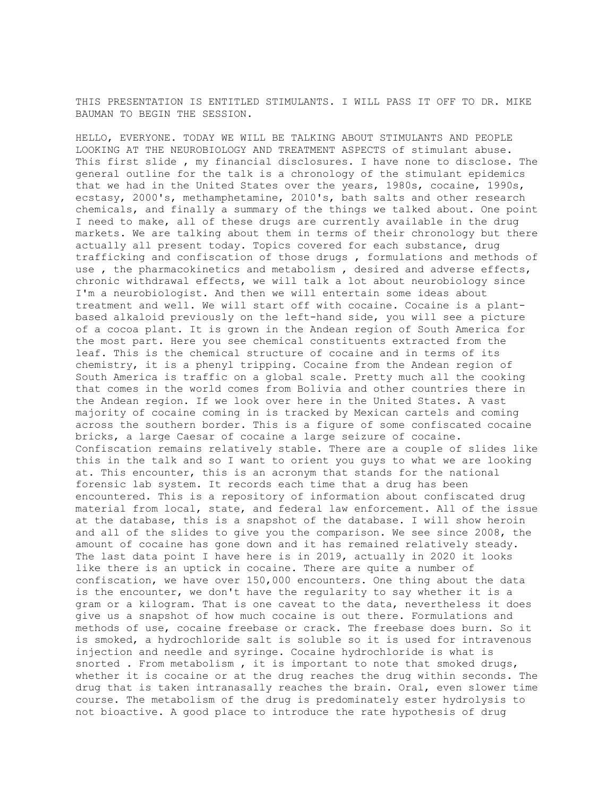THIS PRESENTATION IS ENTITLED STIMULANTS. I WILL PASS IT OFF TO DR. MIKE BAUMAN TO BEGIN THE SESSION.

HELLO, EVERYONE. TODAY WE WILL BE TALKING ABOUT STIMULANTS AND PEOPLE LOOKING AT THE NEUROBIOLOGY AND TREATMENT ASPECTS of stimulant abuse. This first slide , my financial disclosures. I have none to disclose. The general outline for the talk is a chronology of the stimulant epidemics that we had in the United States over the years, 1980s, cocaine, 1990s, ecstasy, 2000's, methamphetamine, 2010's, bath salts and other research chemicals, and finally a summary of the things we talked about. One point I need to make, all of these drugs are currently available in the drug markets. We are talking about them in terms of their chronology but there actually all present today. Topics covered for each substance, drug trafficking and confiscation of those drugs , formulations and methods of use , the pharmacokinetics and metabolism , desired and adverse effects, chronic withdrawal effects, we will talk a lot about neurobiology since I'm a neurobiologist. And then we will entertain some ideas about treatment and well. We will start off with cocaine. Cocaine is a plantbased alkaloid previously on the left-hand side, you will see a picture of a cocoa plant. It is grown in the Andean region of South America for the most part. Here you see chemical constituents extracted from the leaf. This is the chemical structure of cocaine and in terms of its chemistry, it is a phenyl tripping. Cocaine from the Andean region of South America is traffic on a global scale. Pretty much all the cooking that comes in the world comes from Bolivia and other countries there in the Andean region. If we look over here in the United States. A vast majority of cocaine coming in is tracked by Mexican cartels and coming across the southern border. This is a figure of some confiscated cocaine bricks, a large Caesar of cocaine a large seizure of cocaine. Confiscation remains relatively stable. There are a couple of slides like this in the talk and so I want to orient you guys to what we are looking at. This encounter, this is an acronym that stands for the national forensic lab system. It records each time that a drug has been encountered. This is a repository of information about confiscated drug material from local, state, and federal law enforcement. All of the issue at the database, this is a snapshot of the database. I will show heroin and all of the slides to give you the comparison. We see since 2008, the amount of cocaine has gone down and it has remained relatively steady. The last data point I have here is in 2019, actually in 2020 it looks like there is an uptick in cocaine. There are quite a number of confiscation, we have over 150,000 encounters. One thing about the data is the encounter, we don't have the regularity to say whether it is a gram or a kilogram. That is one caveat to the data, nevertheless it does give us a snapshot of how much cocaine is out there. Formulations and methods of use, cocaine freebase or crack. The freebase does burn. So it is smoked, a hydrochloride salt is soluble so it is used for intravenous injection and needle and syringe. Cocaine hydrochloride is what is snorted . From metabolism , it is important to note that smoked drugs, whether it is cocaine or at the drug reaches the drug within seconds. The drug that is taken intranasally reaches the brain. Oral, even slower time course. The metabolism of the drug is predominately ester hydrolysis to not bioactive. A good place to introduce the rate hypothesis of drug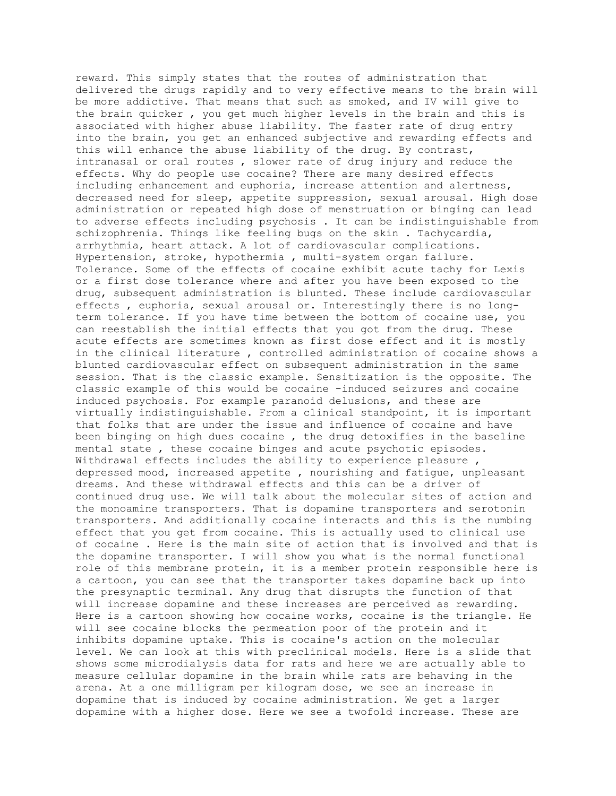reward. This simply states that the routes of administration that delivered the drugs rapidly and to very effective means to the brain will be more addictive. That means that such as smoked, and IV will give to the brain quicker , you get much higher levels in the brain and this is associated with higher abuse liability. The faster rate of drug entry into the brain, you get an enhanced subjective and rewarding effects and this will enhance the abuse liability of the drug. By contrast, intranasal or oral routes , slower rate of drug injury and reduce the effects. Why do people use cocaine? There are many desired effects including enhancement and euphoria, increase attention and alertness, decreased need for sleep, appetite suppression, sexual arousal. High dose administration or repeated high dose of menstruation or binging can lead to adverse effects including psychosis . It can be indistinguishable from schizophrenia. Things like feeling bugs on the skin . Tachycardia, arrhythmia, heart attack. A lot of cardiovascular complications. Hypertension, stroke, hypothermia , multi-system organ failure. Tolerance. Some of the effects of cocaine exhibit acute tachy for Lexis or a first dose tolerance where and after you have been exposed to the drug, subsequent administration is blunted. These include cardiovascular effects , euphoria, sexual arousal or. Interestingly there is no longterm tolerance. If you have time between the bottom of cocaine use, you can reestablish the initial effects that you got from the drug. These acute effects are sometimes known as first dose effect and it is mostly in the clinical literature , controlled administration of cocaine shows a blunted cardiovascular effect on subsequent administration in the same session. That is the classic example. Sensitization is the opposite. The classic example of this would be cocaine -induced seizures and cocaine induced psychosis. For example paranoid delusions, and these are virtually indistinguishable. From a clinical standpoint, it is important that folks that are under the issue and influence of cocaine and have been binging on high dues cocaine , the drug detoxifies in the baseline mental state , these cocaine binges and acute psychotic episodes. Withdrawal effects includes the ability to experience pleasure, depressed mood, increased appetite , nourishing and fatigue, unpleasant dreams. And these withdrawal effects and this can be a driver of continued drug use. We will talk about the molecular sites of action and the monoamine transporters. That is dopamine transporters and serotonin transporters. And additionally cocaine interacts and this is the numbing effect that you get from cocaine. This is actually used to clinical use of cocaine . Here is the main site of action that is involved and that is the dopamine transporter. I will show you what is the normal functional role of this membrane protein, it is a member protein responsible here is a cartoon, you can see that the transporter takes dopamine back up into the presynaptic terminal. Any drug that disrupts the function of that will increase dopamine and these increases are perceived as rewarding. Here is a cartoon showing how cocaine works, cocaine is the triangle. He will see cocaine blocks the permeation poor of the protein and it inhibits dopamine uptake. This is cocaine's action on the molecular level. We can look at this with preclinical models. Here is a slide that shows some microdialysis data for rats and here we are actually able to measure cellular dopamine in the brain while rats are behaving in the arena. At a one milligram per kilogram dose, we see an increase in dopamine that is induced by cocaine administration. We get a larger dopamine with a higher dose. Here we see a twofold increase. These are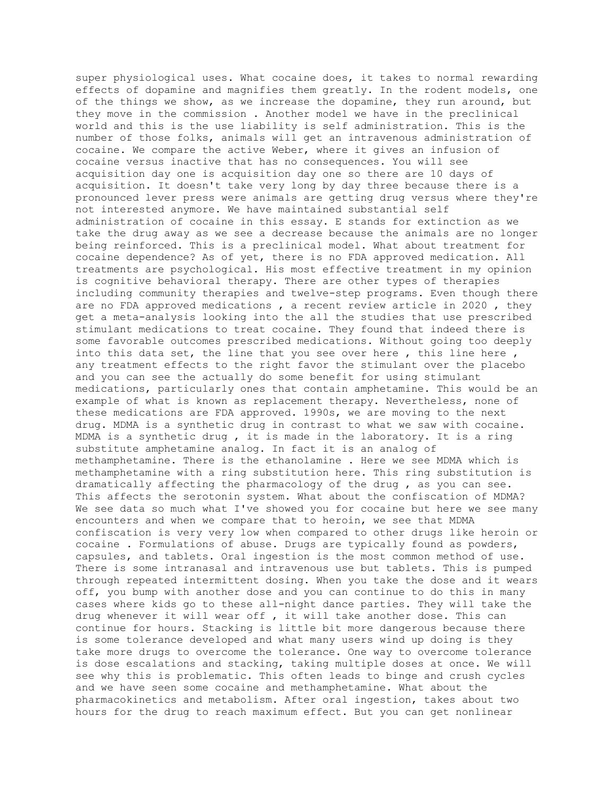super physiological uses. What cocaine does, it takes to normal rewarding effects of dopamine and magnifies them greatly. In the rodent models, one of the things we show, as we increase the dopamine, they run around, but they move in the commission . Another model we have in the preclinical world and this is the use liability is self administration. This is the number of those folks, animals will get an intravenous administration of cocaine. We compare the active Weber, where it gives an infusion of cocaine versus inactive that has no consequences. You will see acquisition day one is acquisition day one so there are 10 days of acquisition. It doesn't take very long by day three because there is a pronounced lever press were animals are getting drug versus where they're not interested anymore. We have maintained substantial self administration of cocaine in this essay. E stands for extinction as we take the drug away as we see a decrease because the animals are no longer being reinforced. This is a preclinical model. What about treatment for cocaine dependence? As of yet, there is no FDA approved medication. All treatments are psychological. His most effective treatment in my opinion is cognitive behavioral therapy. There are other types of therapies including community therapies and twelve-step programs. Even though there are no FDA approved medications , a recent review article in 2020 , they get a meta-analysis looking into the all the studies that use prescribed stimulant medications to treat cocaine. They found that indeed there is some favorable outcomes prescribed medications. Without going too deeply into this data set, the line that you see over here , this line here , any treatment effects to the right favor the stimulant over the placebo and you can see the actually do some benefit for using stimulant medications, particularly ones that contain amphetamine. This would be an example of what is known as replacement therapy. Nevertheless, none of these medications are FDA approved. 1990s, we are moving to the next drug. MDMA is a synthetic drug in contrast to what we saw with cocaine. MDMA is a synthetic drug , it is made in the laboratory. It is a ring substitute amphetamine analog. In fact it is an analog of methamphetamine. There is the ethanolamine . Here we see MDMA which is methamphetamine with a ring substitution here. This ring substitution is dramatically affecting the pharmacology of the drug , as you can see. This affects the serotonin system. What about the confiscation of MDMA? We see data so much what I've showed you for cocaine but here we see many encounters and when we compare that to heroin, we see that MDMA confiscation is very very low when compared to other drugs like heroin or cocaine . Formulations of abuse. Drugs are typically found as powders, capsules, and tablets. Oral ingestion is the most common method of use. There is some intranasal and intravenous use but tablets. This is pumped through repeated intermittent dosing. When you take the dose and it wears off, you bump with another dose and you can continue to do this in many cases where kids go to these all-night dance parties. They will take the drug whenever it will wear off , it will take another dose. This can continue for hours. Stacking is little bit more dangerous because there is some tolerance developed and what many users wind up doing is they take more drugs to overcome the tolerance. One way to overcome tolerance is dose escalations and stacking, taking multiple doses at once. We will see why this is problematic. This often leads to binge and crush cycles and we have seen some cocaine and methamphetamine. What about the pharmacokinetics and metabolism. After oral ingestion, takes about two hours for the drug to reach maximum effect. But you can get nonlinear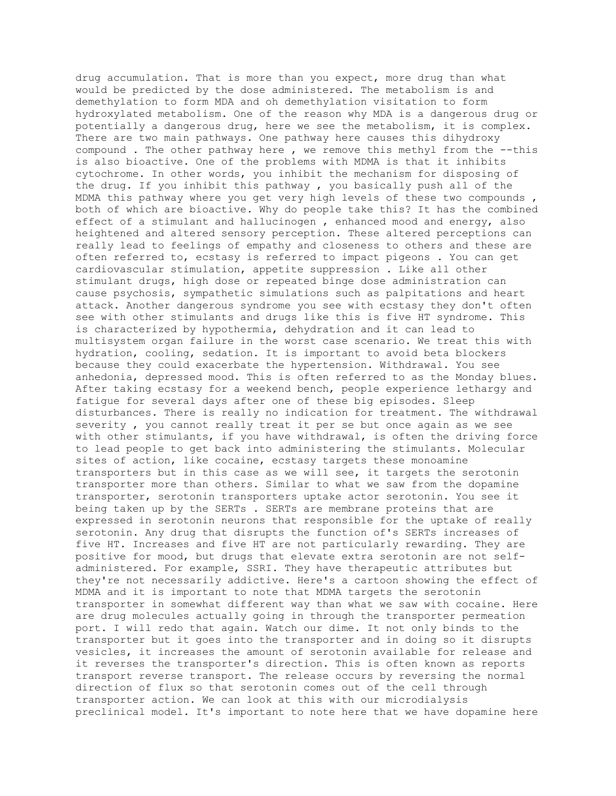drug accumulation. That is more than you expect, more drug than what would be predicted by the dose administered. The metabolism is and demethylation to form MDA and oh demethylation visitation to form hydroxylated metabolism. One of the reason why MDA is a dangerous drug or potentially a dangerous drug, here we see the metabolism, it is complex. There are two main pathways. One pathway here causes this dihydroxy compound . The other pathway here , we remove this methyl from the --this is also bioactive. One of the problems with MDMA is that it inhibits cytochrome. In other words, you inhibit the mechanism for disposing of the drug. If you inhibit this pathway , you basically push all of the MDMA this pathway where you get very high levels of these two compounds , both of which are bioactive. Why do people take this? It has the combined effect of a stimulant and hallucinogen , enhanced mood and energy, also heightened and altered sensory perception. These altered perceptions can really lead to feelings of empathy and closeness to others and these are often referred to, ecstasy is referred to impact pigeons . You can get cardiovascular stimulation, appetite suppression . Like all other stimulant drugs, high dose or repeated binge dose administration can cause psychosis, sympathetic simulations such as palpitations and heart attack. Another dangerous syndrome you see with ecstasy they don't often see with other stimulants and drugs like this is five HT syndrome. This is characterized by hypothermia, dehydration and it can lead to multisystem organ failure in the worst case scenario. We treat this with hydration, cooling, sedation. It is important to avoid beta blockers because they could exacerbate the hypertension. Withdrawal. You see anhedonia, depressed mood. This is often referred to as the Monday blues. After taking ecstasy for a weekend bench, people experience lethargy and fatigue for several days after one of these big episodes. Sleep disturbances. There is really no indication for treatment. The withdrawal severity , you cannot really treat it per se but once again as we see with other stimulants, if you have withdrawal, is often the driving force to lead people to get back into administering the stimulants. Molecular sites of action, like cocaine, ecstasy targets these monoamine transporters but in this case as we will see, it targets the serotonin transporter more than others. Similar to what we saw from the dopamine transporter, serotonin transporters uptake actor serotonin. You see it being taken up by the SERTs . SERTs are membrane proteins that are expressed in serotonin neurons that responsible for the uptake of really serotonin. Any drug that disrupts the function of's SERTs increases of five HT. Increases and five HT are not particularly rewarding. They are positive for mood, but drugs that elevate extra serotonin are not selfadministered. For example, SSRI. They have therapeutic attributes but they're not necessarily addictive. Here's a cartoon showing the effect of MDMA and it is important to note that MDMA targets the serotonin transporter in somewhat different way than what we saw with cocaine. Here are drug molecules actually going in through the transporter permeation port. I will redo that again. Watch our dime. It not only binds to the transporter but it goes into the transporter and in doing so it disrupts vesicles, it increases the amount of serotonin available for release and it reverses the transporter's direction. This is often known as reports transport reverse transport. The release occurs by reversing the normal direction of flux so that serotonin comes out of the cell through transporter action. We can look at this with our microdialysis preclinical model. It's important to note here that we have dopamine here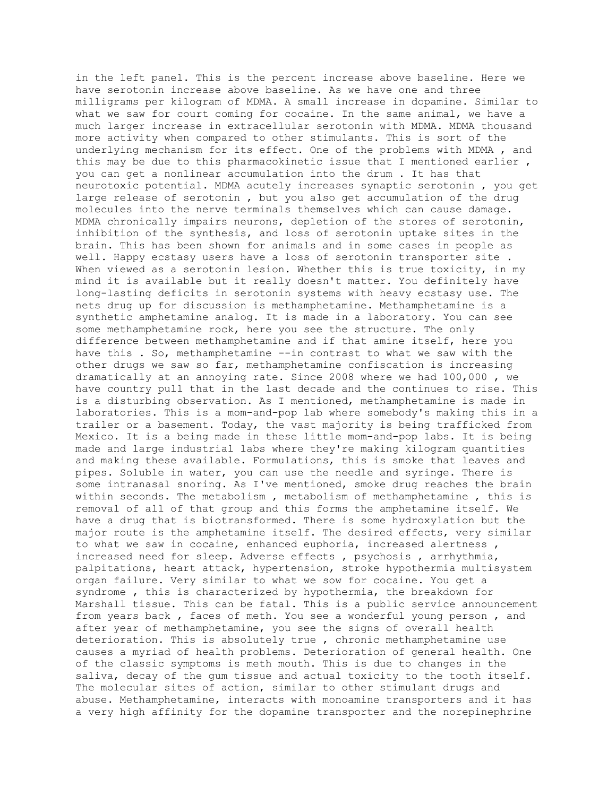in the left panel. This is the percent increase above baseline. Here we have serotonin increase above baseline. As we have one and three milligrams per kilogram of MDMA. A small increase in dopamine. Similar to what we saw for court coming for cocaine. In the same animal, we have a much larger increase in extracellular serotonin with MDMA. MDMA thousand more activity when compared to other stimulants. This is sort of the underlying mechanism for its effect. One of the problems with MDMA , and this may be due to this pharmacokinetic issue that I mentioned earlier , you can get a nonlinear accumulation into the drum . It has that neurotoxic potential. MDMA acutely increases synaptic serotonin , you get large release of serotonin , but you also get accumulation of the drug molecules into the nerve terminals themselves which can cause damage. MDMA chronically impairs neurons, depletion of the stores of serotonin, inhibition of the synthesis, and loss of serotonin uptake sites in the brain. This has been shown for animals and in some cases in people as well. Happy ecstasy users have a loss of serotonin transporter site . When viewed as a serotonin lesion. Whether this is true toxicity, in my mind it is available but it really doesn't matter. You definitely have long-lasting deficits in serotonin systems with heavy ecstasy use. The nets drug up for discussion is methamphetamine. Methamphetamine is a synthetic amphetamine analog. It is made in a laboratory. You can see some methamphetamine rock, here you see the structure. The only difference between methamphetamine and if that amine itself, here you have this . So, methamphetamine --in contrast to what we saw with the other drugs we saw so far, methamphetamine confiscation is increasing dramatically at an annoying rate. Since 2008 where we had 100,000 , we have country pull that in the last decade and the continues to rise. This is a disturbing observation. As I mentioned, methamphetamine is made in laboratories. This is a mom-and-pop lab where somebody's making this in a trailer or a basement. Today, the vast majority is being trafficked from Mexico. It is a being made in these little mom-and-pop labs. It is being made and large industrial labs where they're making kilogram quantities and making these available. Formulations, this is smoke that leaves and pipes. Soluble in water, you can use the needle and syringe. There is some intranasal snoring. As I've mentioned, smoke drug reaches the brain within seconds. The metabolism , metabolism of methamphetamine , this is removal of all of that group and this forms the amphetamine itself. We have a drug that is biotransformed. There is some hydroxylation but the major route is the amphetamine itself. The desired effects, very similar to what we saw in cocaine, enhanced euphoria, increased alertness, increased need for sleep. Adverse effects , psychosis , arrhythmia, palpitations, heart attack, hypertension, stroke hypothermia multisystem organ failure. Very similar to what we sow for cocaine. You get a syndrome , this is characterized by hypothermia, the breakdown for Marshall tissue. This can be fatal. This is a public service announcement from years back , faces of meth. You see a wonderful young person , and after year of methamphetamine, you see the signs of overall health deterioration. This is absolutely true , chronic methamphetamine use causes a myriad of health problems. Deterioration of general health. One of the classic symptoms is meth mouth. This is due to changes in the saliva, decay of the gum tissue and actual toxicity to the tooth itself. The molecular sites of action, similar to other stimulant drugs and abuse. Methamphetamine, interacts with monoamine transporters and it has a very high affinity for the dopamine transporter and the norepinephrine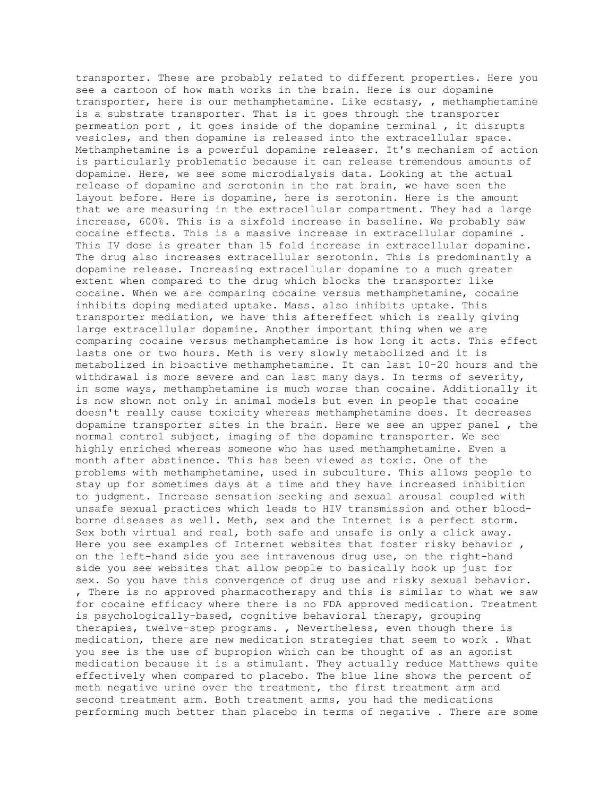transporter. These are probably related to different properties. Here you see a cartoon of how math works in the brain. Here is our dopamine transporter, here is our methamphetamine. Like ecstasy, , methamphetamine is a substrate transporter. That is it goes through the transporter permeation port , it goes inside of the dopamine terminal , it disrupts vesicles, and then dopamine is released into the extracellular space. Methamphetamine is a powerful dopamine releaser. It's mechanism of action is particularly problematic because it can release tremendous amounts of dopamine. Here, we see some microdialysis data. Looking at the actual release of dopamine and serotonin in the rat brain, we have seen the layout before. Here is dopamine, here is serotonin. Here is the amount that we are measuring in the extracellular compartment. They had a large increase, 600%. This is a sixfold increase in baseline. We probably saw cocaine effects. This is a massive increase in extracellular dopamine . This IV dose is greater than 15 fold increase in extracellular dopamine. The drug also increases extracellular serotonin. This is predominantly a dopamine release. Increasing extracellular dopamine to a much greater extent when compared to the drug which blocks the transporter like cocaine. When we are comparing cocaine versus methamphetamine, cocaine inhibits doping mediated uptake. Mass. also inhibits uptake. This transporter mediation, we have this aftereffect which is really giving large extracellular dopamine. Another important thing when we are comparing cocaine versus methamphetamine is how long it acts. This effect lasts one or two hours. Meth is very slowly metabolized and it is metabolized in bioactive methamphetamine. It can last 10-20 hours and the withdrawal is more severe and can last many days. In terms of severity, in some ways, methamphetamine is much worse than cocaine. Additionally it is now shown not only in animal models but even in people that cocaine doesn't really cause toxicity whereas methamphetamine does. It decreases dopamine transporter sites in the brain. Here we see an upper panel , the normal control subject, imaging of the dopamine transporter. We see highly enriched whereas someone who has used methamphetamine. Even a month after abstinence. This has been viewed as toxic. One of the problems with methamphetamine, used in subculture. This allows people to stay up for sometimes days at a time and they have increased inhibition to judgment. Increase sensation seeking and sexual arousal coupled with unsafe sexual practices which leads to HIV transmission and other bloodborne diseases as well. Meth, sex and the Internet is a perfect storm. Sex both virtual and real, both safe and unsafe is only a click away. Here you see examples of Internet websites that foster risky behavior , on the left-hand side you see intravenous drug use, on the right-hand side you see websites that allow people to basically hook up just for sex. So you have this convergence of drug use and risky sexual behavior. , There is no approved pharmacotherapy and this is similar to what we saw for cocaine efficacy where there is no FDA approved medication. Treatment is psychologically-based, cognitive behavioral therapy, grouping therapies, twelve-step programs. , Nevertheless, even though there is medication, there are new medication strategies that seem to work . What you see is the use of bupropion which can be thought of as an agonist medication because it is a stimulant. They actually reduce Matthews quite effectively when compared to placebo. The blue line shows the percent of meth negative urine over the treatment, the first treatment arm and second treatment arm. Both treatment arms, you had the medications performing much better than placebo in terms of negative . There are some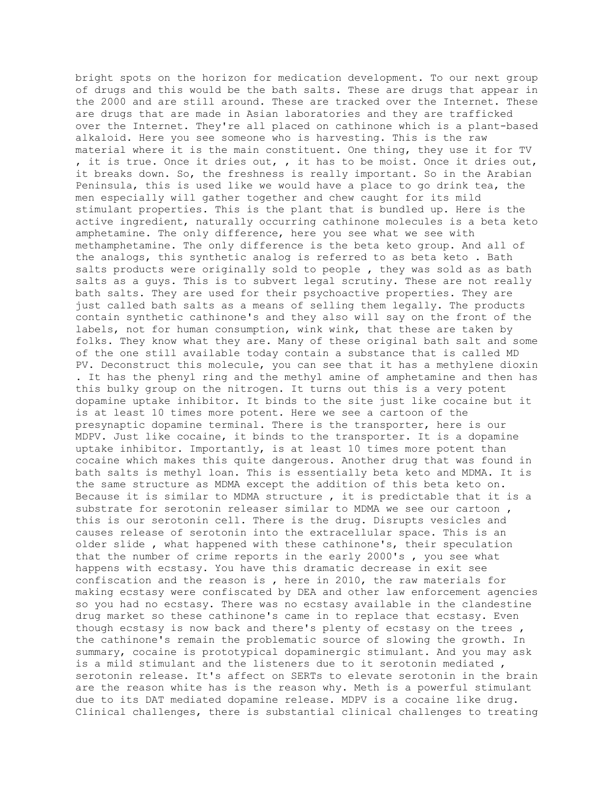bright spots on the horizon for medication development. To our next group of drugs and this would be the bath salts. These are drugs that appear in the 2000 and are still around. These are tracked over the Internet. These are drugs that are made in Asian laboratories and they are trafficked over the Internet. They're all placed on cathinone which is a plant-based alkaloid. Here you see someone who is harvesting. This is the raw material where it is the main constituent. One thing, they use it for TV , it is true. Once it dries out, , it has to be moist. Once it dries out, it breaks down. So, the freshness is really important. So in the Arabian Peninsula, this is used like we would have a place to go drink tea, the men especially will gather together and chew caught for its mild stimulant properties. This is the plant that is bundled up. Here is the active ingredient, naturally occurring cathinone molecules is a beta keto amphetamine. The only difference, here you see what we see with methamphetamine. The only difference is the beta keto group. And all of the analogs, this synthetic analog is referred to as beta keto . Bath salts products were originally sold to people , they was sold as as bath salts as a guys. This is to subvert legal scrutiny. These are not really bath salts. They are used for their psychoactive properties. They are just called bath salts as a means of selling them legally. The products contain synthetic cathinone's and they also will say on the front of the labels, not for human consumption, wink wink, that these are taken by folks. They know what they are. Many of these original bath salt and some of the one still available today contain a substance that is called MD PV. Deconstruct this molecule, you can see that it has a methylene dioxin . It has the phenyl ring and the methyl amine of amphetamine and then has this bulky group on the nitrogen. It turns out this is a very potent dopamine uptake inhibitor. It binds to the site just like cocaine but it is at least 10 times more potent. Here we see a cartoon of the presynaptic dopamine terminal. There is the transporter, here is our MDPV. Just like cocaine, it binds to the transporter. It is a dopamine uptake inhibitor. Importantly, is at least 10 times more potent than cocaine which makes this quite dangerous. Another drug that was found in bath salts is methyl loan. This is essentially beta keto and MDMA. It is the same structure as MDMA except the addition of this beta keto on. Because it is similar to MDMA structure , it is predictable that it is a substrate for serotonin releaser similar to MDMA we see our cartoon , this is our serotonin cell. There is the drug. Disrupts vesicles and causes release of serotonin into the extracellular space. This is an older slide , what happened with these cathinone's, their speculation that the number of crime reports in the early 2000's , you see what happens with ecstasy. You have this dramatic decrease in exit see confiscation and the reason is , here in 2010, the raw materials for making ecstasy were confiscated by DEA and other law enforcement agencies so you had no ecstasy. There was no ecstasy available in the clandestine drug market so these cathinone's came in to replace that ecstasy. Even though ecstasy is now back and there's plenty of ecstasy on the trees , the cathinone's remain the problematic source of slowing the growth. In summary, cocaine is prototypical dopaminergic stimulant. And you may ask is a mild stimulant and the listeners due to it serotonin mediated , serotonin release. It's affect on SERTs to elevate serotonin in the brain are the reason white has is the reason why. Meth is a powerful stimulant due to its DAT mediated dopamine release. MDPV is a cocaine like drug. Clinical challenges, there is substantial clinical challenges to treating